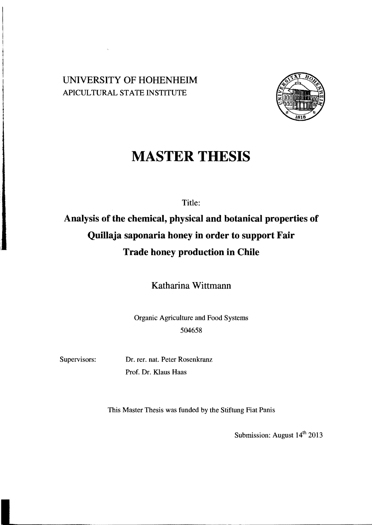## UNIVERSITY OF HOHENHEIM APICULTURAL STATE INSTITUTE



## **MASTER THESIS**

Tide:

## **Analysis of the chemieal, physical and botanical properties of Quillaja saponaria honey in order to support Fair Trade honey production in Chile**

Katharina Wittmann

Organic Agriculture and Food Systems 504658

Supervisors: Dr. rer. nat. Peter Rosenkranz Prof. Dr. Klaus Haas

This Master Thesis was funded by the Stiftung Fiat Panis

Submission: August  $14<sup>th</sup>$  2013